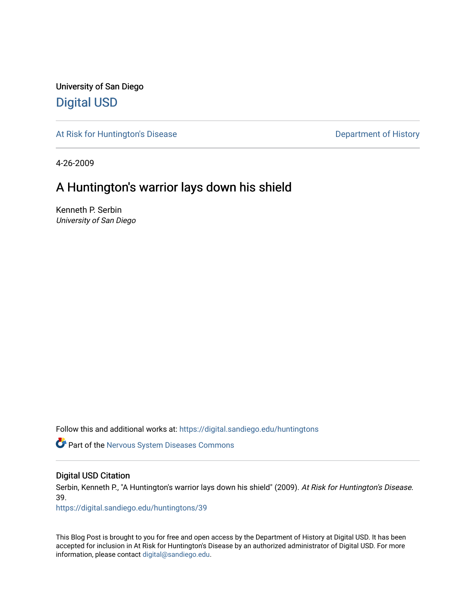University of San Diego [Digital USD](https://digital.sandiego.edu/)

[At Risk for Huntington's Disease](https://digital.sandiego.edu/huntingtons) **Department of History** Department of History

4-26-2009

## A Huntington's warrior lays down his shield

Kenneth P. Serbin University of San Diego

Follow this and additional works at: [https://digital.sandiego.edu/huntingtons](https://digital.sandiego.edu/huntingtons?utm_source=digital.sandiego.edu%2Fhuntingtons%2F39&utm_medium=PDF&utm_campaign=PDFCoverPages)

**C** Part of the [Nervous System Diseases Commons](http://network.bepress.com/hgg/discipline/928?utm_source=digital.sandiego.edu%2Fhuntingtons%2F39&utm_medium=PDF&utm_campaign=PDFCoverPages)

#### Digital USD Citation

Serbin, Kenneth P., "A Huntington's warrior lays down his shield" (2009). At Risk for Huntington's Disease. 39.

[https://digital.sandiego.edu/huntingtons/39](https://digital.sandiego.edu/huntingtons/39?utm_source=digital.sandiego.edu%2Fhuntingtons%2F39&utm_medium=PDF&utm_campaign=PDFCoverPages)

This Blog Post is brought to you for free and open access by the Department of History at Digital USD. It has been accepted for inclusion in At Risk for Huntington's Disease by an authorized administrator of Digital USD. For more information, please contact [digital@sandiego.edu.](mailto:digital@sandiego.edu)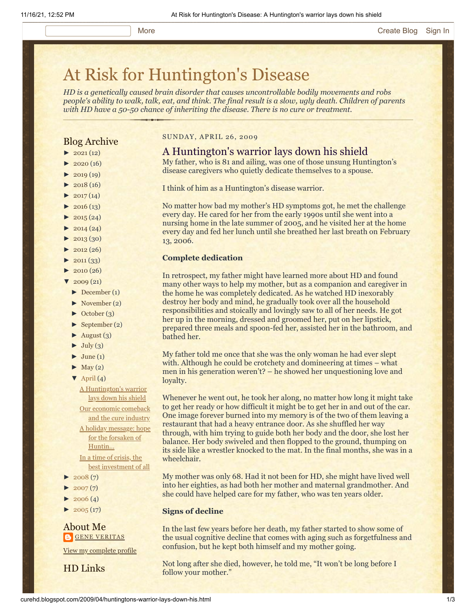# [At Risk for Huntington's Disease](http://curehd.blogspot.com/)

*HD is a genetically caused brain disorder that causes uncontrollable bodily movements and robs people's ability to walk, talk, eat, and think. The final result is a slow, ugly death. Children of parents with HD have a 50-50 chance of inheriting the disease. There is no cure or treatment.*

### Blog Archive

- $\blacktriangleright$  [2021](http://curehd.blogspot.com/2021/) (12)
- $\blacktriangleright$  [2020](http://curehd.blogspot.com/2020/) (16)
- $\blacktriangleright$  [2019](http://curehd.blogspot.com/2019/) (19)
- $\blacktriangleright$  [2018](http://curehd.blogspot.com/2018/) (16)
- $\cdot$  [2017](http://curehd.blogspot.com/2017/) (14)
- $2016(13)$  $2016(13)$  $\blacktriangleright$  [2015](http://curehd.blogspot.com/2015/) (24)
- 
- $\blacktriangleright$  [2014](http://curehd.blogspot.com/2014/) (24)
- $\blacktriangleright$  [2013](http://curehd.blogspot.com/2013/) (30)
- $\blacktriangleright$  [2012](http://curehd.blogspot.com/2012/) (26)
- $\blacktriangleright$  [2011](http://curehd.blogspot.com/2011/) (33)
- $\blacktriangleright$  [2010](http://curehd.blogspot.com/2010/) (26)
- $2009(21)$  $2009(21)$
- [►](javascript:void(0)) [December](http://curehd.blogspot.com/2009/12/) (1)
- [►](javascript:void(0)) [November](http://curehd.blogspot.com/2009/11/) (2)
- [►](javascript:void(0)) [October](http://curehd.blogspot.com/2009/10/) (3)
- [►](javascript:void(0)) [September](http://curehd.blogspot.com/2009/09/) (2)
- $\blacktriangleright$  [August](http://curehd.blogspot.com/2009/08/) (3)
- $\blacktriangleright$  [July](http://curehd.blogspot.com/2009/07/) (3)
- $\blacktriangleright$  [June](http://curehd.blogspot.com/2009/06/) (1)
- $\blacktriangleright$  [May](http://curehd.blogspot.com/2009/05/) (2)
- $\nabla$  [April](http://curehd.blogspot.com/2009/04/) (4)

A [Huntington's](http://curehd.blogspot.com/2009/04/huntingtons-warrior-lays-down-his.html) warrior lays down his shield Our economic [comeback](http://curehd.blogspot.com/2009/04/our-economic-comeback-and-cure-industry.html) and the cure industry A holiday [message:](http://curehd.blogspot.com/2009/04/holiday-message-hope-for-forsaken-of.html) hope for the forsaken of Huntin...

In a time of crisis, the best [investment](http://curehd.blogspot.com/2009/04/in-time-of-crisis-best-investment-of.html) of all

- $2008(7)$  $2008(7)$
- $\blacktriangleright$  [2007](http://curehd.blogspot.com/2007/) $(7)$
- $2006(4)$  $2006(4)$
- $2005(17)$  $2005(17)$

About Me **GENE [VERITAS](https://www.blogger.com/profile/10911736205741688185)** 

View my [complete](https://www.blogger.com/profile/10911736205741688185) profile

HD Links

#### SUNDAY, APRIL 26, 2009

### A Huntington's warrior lays down his shield

My father, who is 81 and ailing, was one of those unsung Huntington's disease caregivers who quietly dedicate themselves to a spouse.

I think of him as a Huntington's disease warrior.

No matter how bad my mother's HD symptoms got, he met the challenge every day. He cared for her from the early 1990s until she went into a nursing home in the late summer of 2005, and he visited her at the home every day and fed her lunch until she breathed her last breath on February 13, 2006.

#### **Complete dedication**

In retrospect, my father might have learned more about HD and found many other ways to help my mother, but as a companion and caregiver in the home he was completely dedicated. As he watched HD inexorably destroy her body and mind, he gradually took over all the household responsibilities and stoically and lovingly saw to all of her needs. He got her up in the morning, dressed and groomed her, put on her lipstick, prepared three meals and spoon-fed her, assisted her in the bathroom, and bathed her.

My father told me once that she was the only woman he had ever slept with. Although he could be crotchety and domineering at times – what men in his generation weren't? – he showed her unquestioning love and loyalty.

Whenever he went out, he took her along, no matter how long it might take to get her ready or how difficult it might be to get her in and out of the car. One image forever burned into my memory is of the two of them leaving a restaurant that had a heavy entrance door. As she shuffled her way through, with him trying to guide both her body and the door, she lost her balance. Her body swiveled and then flopped to the ground, thumping on its side like a wrestler knocked to the mat. In the final months, she was in a wheelchair.

My mother was only 68. Had it not been for HD, she might have lived well into her eighties, as had both her mother and maternal grandmother. And she could have helped care for my father, who was ten years older.

#### **Signs of decline**

In the last few years before her death, my father started to show some of the usual cognitive decline that comes with aging such as forgetfulness and confusion, but he kept both himself and my mother going.

Not long after she died, however, he told me, "It won't be long before I follow your mother."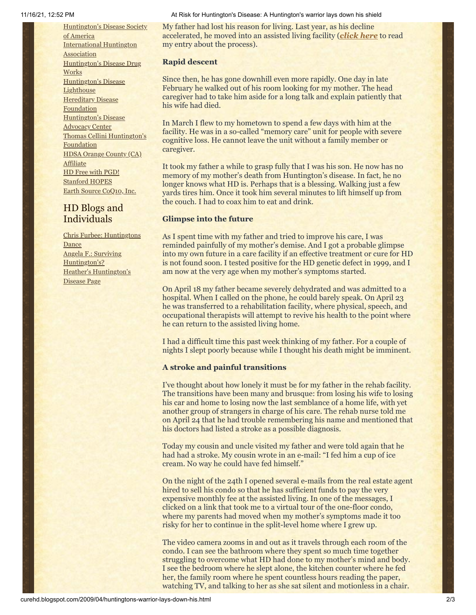[Huntington's](http://www.hdsa.org/) Disease Society of America [International](http://www.huntington-assoc.com/) Huntington **Association** [Huntington's](http://hddrugworks.org/) Disease Drug **Works** [Huntington's](http://www.hdlighthouse.org/) Disease **Lighthouse** [Hereditary](http://www.hdfoundation.org/) Disease **Foundation** [Huntington's](http://www.hdac.org/) Disease Advocacy Center Thomas [Cellini Huntington's](http://www.ourtchfoundation.org/) **Foundation** HDSA Orange County (CA) **[Affiliate](http://www.hdsaoc.org/)** HD Free with [PGD!](http://www.hdfreewithpgd.com/) [Stanford](http://www.stanford.edu/group/hopes/) HOPES Earth Source [CoQ10,](http://www.escoq10.com/) Inc.

### HD Blogs and Individuals

Chris Furbee: [Huntingtons](http://www.huntingtonsdance.org/) **Dance** Angela F.: Surviving [Huntington's?](http://survivinghuntingtons.blogspot.com/) Heather's [Huntington's](http://heatherdugdale.angelfire.com/) Disease Page

#### 11/16/21, 12:52 PM At Risk for Huntington's Disease: A Huntington's warrior lays down his shield

My father had lost his reason for living. Last year, as his decline accelerated, he moved into an assisted living facility (*[click here](http://curehd.blogspot.com/2008/06/huntingtons-disease-destroyer-of.html)* to read my entry about the process).

#### **Rapid descent**

Since then, he has gone downhill even more rapidly. One day in late February he walked out of his room looking for my mother. The head caregiver had to take him aside for a long talk and explain patiently that his wife had died.

In March I flew to my hometown to spend a few days with him at the facility. He was in a so-called "memory care" unit for people with severe cognitive loss. He cannot leave the unit without a family member or caregiver.

It took my father a while to grasp fully that I was his son. He now has no memory of my mother's death from Huntington's disease. In fact, he no longer knows what HD is. Perhaps that is a blessing. Walking just a few yards tires him. Once it took him several minutes to lift himself up from the couch. I had to coax him to eat and drink.

#### **Glimpse into the future**

As I spent time with my father and tried to improve his care, I was reminded painfully of my mother's demise. And I got a probable glimpse into my own future in a care facility if an effective treatment or cure for HD is not found soon. I tested positive for the HD genetic defect in 1999, and I am now at the very age when my mother's symptoms started.

On April 18 my father became severely dehydrated and was admitted to a hospital. When I called on the phone, he could barely speak. On April 23 he was transferred to a rehabilitation facility, where physical, speech, and occupational therapists will attempt to revive his health to the point where he can return to the assisted living home.

I had a difficult time this past week thinking of my father. For a couple of nights I slept poorly because while I thought his death might be imminent.

#### **A stroke and painful transitions**

I've thought about how lonely it must be for my father in the rehab facility. The transitions have been many and brusque: from losing his wife to losing his car and home to losing now the last semblance of a home life, with yet another group of strangers in charge of his care. The rehab nurse told me on April 24 that he had trouble remembering his name and mentioned that his doctors had listed a stroke as a possible diagnosis.

Today my cousin and uncle visited my father and were told again that he had had a stroke. My cousin wrote in an e-mail: "I fed him a cup of ice cream. No way he could have fed himself."

On the night of the 24th I opened several e-mails from the real estate agent hired to sell his condo so that he has sufficient funds to pay the very expensive monthly fee at the assisted living. In one of the messages, I clicked on a link that took me to a virtual tour of the one-floor condo, where my parents had moved when my mother's symptoms made it too risky for her to continue in the split-level home where I grew up.

The video camera zooms in and out as it travels through each room of the condo. I can see the bathroom where they spent so much time together struggling to overcome what HD had done to my mother's mind and body. I see the bedroom where he slept alone, the kitchen counter where he fed her, the family room where he spent countless hours reading the paper, watching TV, and talking to her as she sat silent and motionless in a chair.